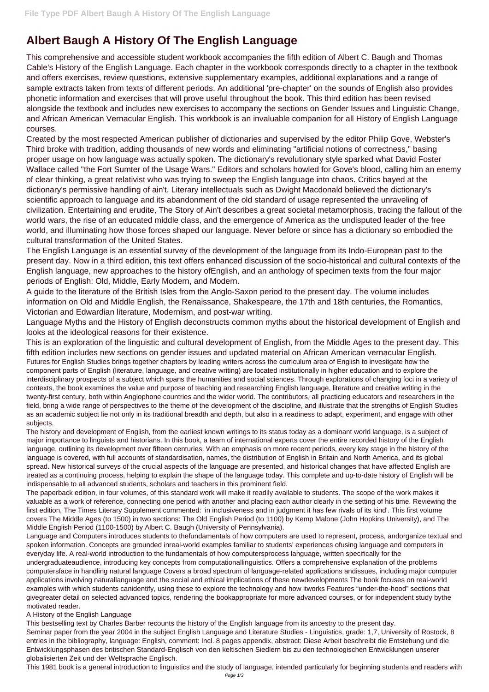## **Albert Baugh A History Of The English Language**

This comprehensive and accessible student workbook accompanies the fifth edition of Albert C. Baugh and Thomas Cable's History of the English Language. Each chapter in the workbook corresponds directly to a chapter in the textbook and offers exercises, review questions, extensive supplementary examples, additional explanations and a range of sample extracts taken from texts of different periods. An additional 'pre-chapter' on the sounds of English also provides phonetic information and exercises that will prove useful throughout the book. This third edition has been revised alongside the textbook and includes new exercises to accompany the sections on Gender Issues and Linguistic Change, and African American Vernacular English. This workbook is an invaluable companion for all History of English Language courses.

Created by the most respected American publisher of dictionaries and supervised by the editor Philip Gove, Webster's Third broke with tradition, adding thousands of new words and eliminating "artificial notions of correctness," basing proper usage on how language was actually spoken. The dictionary's revolutionary style sparked what David Foster Wallace called "the Fort Sumter of the Usage Wars." Editors and scholars howled for Gove's blood, calling him an enemy of clear thinking, a great relativist who was trying to sweep the English language into chaos. Critics bayed at the dictionary's permissive handling of ain't. Literary intellectuals such as Dwight Macdonald believed the dictionary's scientific approach to language and its abandonment of the old standard of usage represented the unraveling of civilization. Entertaining and erudite, The Story of Ain't describes a great societal metamorphosis, tracing the fallout of the world wars, the rise of an educated middle class, and the emergence of America as the undisputed leader of the free world, and illuminating how those forces shaped our language. Never before or since has a dictionary so embodied the cultural transformation of the United States.

The English Language is an essential survey of the development of the language from its Indo-European past to the present day. Now in a third edition, this text offers enhanced discussion of the socio-historical and cultural contexts of the English language, new approaches to the history ofEnglish, and an anthology of specimen texts from the four major periods of English: Old, Middle, Early Modern, and Modern.

A guide to the literature of the British Isles from the Anglo-Saxon period to the present day. The volume includes information on Old and Middle English, the Renaissance, Shakespeare, the 17th and 18th centuries, the Romantics, Victorian and Edwardian literature, Modernism, and post-war writing.

Language Myths and the History of English deconstructs common myths about the historical development of English and looks at the ideological reasons for their existence.

This is an exploration of the linguistic and cultural development of English, from the Middle Ages to the present day. This fifth edition includes new sections on gender issues and updated material on African American vernacular English. Futures for English Studies brings together chapters by leading writers across the curriculum area of English to investigate how the component parts of English (literature, language, and creative writing) are located institutionally in higher education and to explore the interdisciplinary prospects of a subject which spans the humanities and social sciences. Through explorations of changing foci in a variety of contexts, the book examines the value and purpose of teaching and researching English language, literature and creative writing in the twenty-first century, both within Anglophone countries and the wider world. The contributors, all practicing educators and researchers in the field, bring a wide range of perspectives to the theme of the development of the discipline, and illustrate that the strengths of English Studies as an academic subject lie not only in its traditional breadth and depth, but also in a readiness to adapt, experiment, and engage with other subjects.

The history and development of English, from the earliest known writings to its status today as a dominant world language, is a subject of major importance to linguists and historians. In this book, a team of international experts cover the entire recorded history of the English language, outlining its development over fifteen centuries. With an emphasis on more recent periods, every key stage in the history of the language is covered, with full accounts of standardisation, names, the distribution of English in Britain and North America, and its global spread. New historical surveys of the crucial aspects of the language are presented, and historical changes that have affected English are treated as a continuing process, helping to explain the shape of the language today. This complete and up-to-date history of English will be indispensable to all advanced students, scholars and teachers in this prominent field.

The paperback edition, in four volumes, of this standard work will make it readily available to students. The scope of the work makes it valuable as a work of reference, connecting one period with another and placing each author clearly in the setting of his time. Reviewing the first edition, The Times Literary Supplement commented: 'in inclusiveness and in judgment it has few rivals of its kind'. This first volume covers The Middle Ages (to 1500) in two sections: The Old English Period (to 1100) by Kemp Malone (John Hopkins University), and The

## Middle English Period (1100-1500) by Albert C. Baugh (University of Pennsylvania).

Language and Computers introduces students to thefundamentals of how computers are used to represent, process, andorganize textual and spoken information. Concepts are grounded inreal-world examples familiar to students' experiences ofusing language and computers in everyday life. A real-world introduction to the fundamentals of how computersprocess language, written specifically for the undergraduateaudience, introducing key concepts from computationallinguistics. Offers a comprehensive explanation of the problems computersface in handling natural language Covers a broad spectrum of language-related applications andissues, including major computer applications involving naturallanguage and the social and ethical implications of these newdevelopments The book focuses on real-world examples with which students canidentify, using these to explore the technology and how itworks Features "under-the-hood" sections that givegreater detail on selected advanced topics, rendering the bookappropriate for more advanced courses, or for independent study bythe motivated reader.

## A History of the English Language

This bestselling text by Charles Barber recounts the history of the English language from its ancestry to the present day. Seminar paper from the year 2004 in the subject English Language and Literature Studies - Linguistics, grade: 1,7, University of Rostock, 8 entries in the bibliography, language: English, comment: Incl. 8 pages appendix, abstract: Diese Arbeit beschreibt die Entstehung und die Entwicklungsphasen des britischen Standard-Englisch von den keltischen Siedlern bis zu den technologischen Entwicklungen unserer globalisierten Zeit und der Weltsprache Englisch.

This 1981 book is a general introduction to linguistics and the study of language, intended particularly for beginning students and readers with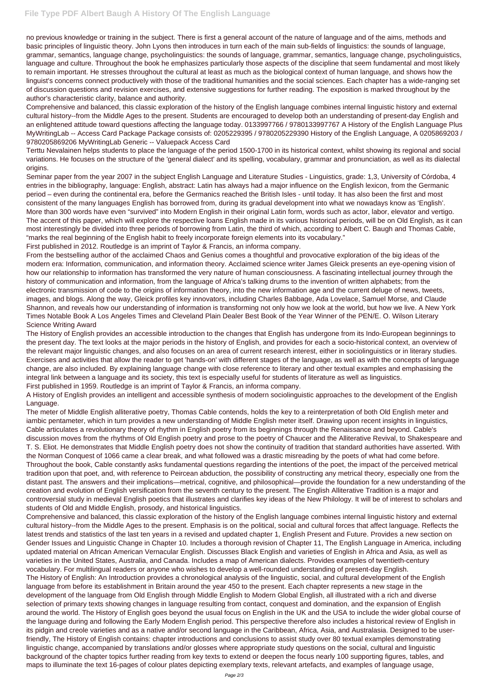no previous knowledge or training in the subject. There is first a general account of the nature of language and of the aims, methods and basic principles of linguistic theory. John Lyons then introduces in turn each of the main sub-fields of linguistics: the sounds of language, grammar, semantics, language change, psycholinguistics: the sounds of language, grammar, semantics, language change, psycholinguistics, language and culture. Throughout the book he emphasizes particularly those aspects of the discipline that seem fundamental and most likely to remain important. He stresses throughout the cultural at least as much as the biological context of human language, and shows how the linguist's concerns connect productively with those of the traditional humanities and the social sciences. Each chapter has a wide-ranging set of discussion questions and revision exercises, and extensive suggestions for further reading. The exposition is marked throughout by the author's characteristic clarity, balance and authority.

Comprehensive and balanced, this classic exploration of the history of the English language combines internal linguistic history and external cultural history--from the Middle Ages to the present. Students are encouraged to develop both an understanding of present-day English and an enlightened attitude toward questions affecting the language today. 0133997766 / 9780133997767 A History of the English Language Plus MyWritingLab -- Access Card Package Package consists of: 0205229395 / 9780205229390 History of the English Language, A 0205869203 / 9780205869206 MyWritingLab Generic -- Valuepack Access Card

Terttu Nevalainen helps students to place the language of the period 1500-1700 in its historical context, whilst showing its regional and social variations. He focuses on the structure of the 'general dialect' and its spelling, vocabulary, grammar and pronunciation, as well as its dialectal origins.

Seminar paper from the year 2007 in the subject English Language and Literature Studies - Linguistics, grade: 1,3, University of Córdoba, 4 entries in the bibliography, language: English, abstract: Latin has always had a major influence on the English lexicon, from the Germanic period – even during the continental era, before the Germanics reached the British Isles - until today. It has also been the first and most consistent of the many languages English has borrowed from, during its gradual development into what we nowadays know as 'English'. More than 300 words have even "survived" into Modern English in their original Latin form, words such as actor, labor, elevator and vertigo. The accent of this paper, which will explore the respective loans English made in its various historical periods, will be on Old English, as it can most interestingly be divided into three periods of borrowing from Latin, the third of which, according to Albert C. Baugh and Thomas Cable, "marks the real beginning of the English habit to freely incorporate foreign elements into its vocabulary."

First published in 2012. Routledge is an imprint of Taylor & Francis, an informa company.

From the bestselling author of the acclaimed Chaos and Genius comes a thoughtful and provocative exploration of the big ideas of the modern era: Information, communication, and information theory. Acclaimed science writer James Gleick presents an eye-opening vision of how our relationship to information has transformed the very nature of human consciousness. A fascinating intellectual journey through the history of communication and information, from the language of Africa's talking drums to the invention of written alphabets; from the electronic transmission of code to the origins of information theory, into the new information age and the current deluge of news, tweets, images, and blogs. Along the way, Gleick profiles key innovators, including Charles Babbage, Ada Lovelace, Samuel Morse, and Claude Shannon, and reveals how our understanding of information is transforming not only how we look at the world, but how we live. A New York Times Notable Book A Los Angeles Times and Cleveland Plain Dealer Best Book of the Year Winner of the PEN/E. O. Wilson Literary Science Writing Award

The History of English provides an accessible introduction to the changes that English has undergone from its Indo-European beginnings to the present day. The text looks at the major periods in the history of English, and provides for each a socio-historical context, an overview of the relevant major linguistic changes, and also focuses on an area of current research interest, either in sociolinguistics or in literary studies. Exercises and activities that allow the reader to get 'hands-on' with different stages of the language, as well as with the concepts of language change, are also included. By explaining language change with close reference to literary and other textual examples and emphasising the integral link between a language and its society, this text is especially useful for students of literature as well as linguistics.

First published in 1959. Routledge is an imprint of Taylor & Francis, an informa company.

A History of English provides an intelligent and accessible synthesis of modern sociolinguistic approaches to the development of the English Language.

The meter of Middle English alliterative poetry, Thomas Cable contends, holds the key to a reinterpretation of both Old English meter and iambic pentameter, which in turn provides a new understanding of Middle English meter itself. Drawing upon recent insights in linguistics, Cable articulates a revolutionary theory of rhythm in English poetry from its beginnings through the Renaissance and beyond. Cable's discussion moves from the rhythms of Old English poetry and prose to the poetry of Chaucer and the Alliterative Revival, to Shakespeare and T. S. Eliot. He demonstrates that Middle English poetry does not show the continuity of tradition that standard authorities have asserted. With the Norman Conquest of 1066 came a clear break, and what followed was a drastic misreading by the poets of what had come before. Throughout the book, Cable constantly asks fundamental questions regarding the intentions of the poet, the impact of the perceived metrical tradition upon that poet, and, with reference to Peircean abduction, the possibility of constructing any metrical theory, especially one from the distant past. The answers and their implications—metrical, cognitive, and philosophical—provide the foundation for a new understanding of the creation and evolution of English versification from the seventh century to the present. The English Alliterative Tradition is a major and controversial study in medieval English poetics that illustrates and clarifies key ideas of the New Philology. It will be of interest to scholars and students of Old and Middle English, prosody, and historical linguistics.

Comprehensive and balanced, this classic exploration of the history of the English language combines internal linguistic history and external cultural history--from the Middle Ages to the present. Emphasis is on the political, social and cultural forces that affect language. Reflects the latest trends and statistics of the last ten years in a revised and updated chapter 1, English Present and Future. Provides a new section on Gender Issues and Linguistic Change in Chapter 10. Includes a thorough revision of Chapter 11, The English Language in America, including updated material on African American Vernacular English. Discusses Black English and varieties of English in Africa and Asia, as well as varieties in the United States, Australia, and Canada. Includes a map of American dialects. Provides examples of twentieth-century vocabulary. For multilingual readers or anyone who wishes to develop a well-rounded understanding of present-day English. The History of English: An Introduction provides a chronological analysis of the linguistic, social, and cultural development of the English language from before its establishment in Britain around the year 450 to the present. Each chapter represents a new stage in the development of the language from Old English through Middle English to Modern Global English, all illustrated with a rich and diverse selection of primary texts showing changes in language resulting from contact, conquest and domination, and the expansion of English around the world. The History of English goes beyond the usual focus on English in the UK and the USA to include the wider global course of the language during and following the Early Modern English period. This perspective therefore also includes a historical review of English in its pidgin and creole varieties and as a native and/or second language in the Caribbean, Africa, Asia, and Australasia. Designed to be userfriendly, The History of English contains: chapter introductions and conclusions to assist study over 80 textual examples demonstrating linguistic change, accompanied by translations and/or glosses where appropriate study questions on the social, cultural and linguistic background of the chapter topics further reading from key texts to extend or deepen the focus nearly 100 supporting figures, tables, and maps to illuminate the text 16-pages of colour plates depicting exemplary texts, relevant artefacts, and examples of language usage,